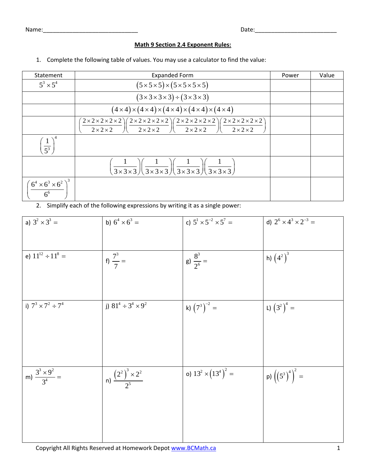Name:\_\_\_\_\_\_\_\_\_\_\_\_\_\_\_\_\_\_\_\_\_\_\_\_\_\_\_\_\_ Date:\_\_\_\_\_\_\_\_\_\_\_\_\_\_\_\_\_\_\_\_\_\_\_\_\_

## **Math 9 Section 2.4 Exponent Rules:**

1. Complete the following table of values. You may use a calculator to find the value:

| Statement                                         | <b>Expanded Form</b>                                                                                                                                                                                                                                                                                                              | Power | Value |
|---------------------------------------------------|-----------------------------------------------------------------------------------------------------------------------------------------------------------------------------------------------------------------------------------------------------------------------------------------------------------------------------------|-------|-------|
| $5^3 \times 5^4$                                  | $(5 \times 5 \times 5) \times (5 \times 5 \times 5 \times 5)$                                                                                                                                                                                                                                                                     |       |       |
|                                                   | $(3\times3\times3\times3) \div (3\times3\times3)$                                                                                                                                                                                                                                                                                 |       |       |
|                                                   | $(4 \times 4) \times (4 \times 4) \times (4 \times 4) \times (4 \times 4) \times (4 \times 4)$                                                                                                                                                                                                                                    |       |       |
|                                                   | $(2 \times 2 \times 2 \times 2 \times 2)(2 \times 2 \times 2 \times 2 \times 2)(2 \times 2 \times 2 \times 2 \times 2)(2 \times 2 \times 2 \times 2 \times 2)$<br>$\frac{1}{2\times2\times2}$ $\left \frac{2\times2\times2}{2\times2\times2}\right \left \frac{2\times2\times2}{2\times2\times2}\right $<br>$2 \times 2 \times 2$ |       |       |
| $rac{1}{5^3}$                                     |                                                                                                                                                                                                                                                                                                                                   |       |       |
|                                                   | $\left(\frac{1}{3\times3\times3}\right)\left(\frac{1}{3\times3\times3}\right)\left(\frac{1}{3\times3\times3}\right)\left(\frac{1}{3\times3\times3}\right)$                                                                                                                                                                        |       |       |
| $(6^4 \times 6^3 \times 6^2)^3$<br>6 <sup>6</sup> |                                                                                                                                                                                                                                                                                                                                   |       |       |

2. Simplify each of the following expressions by writing it as a single power:

| a) $3^2 \times 3^3 =$             | b) $6^4 \times 6^3 =$               | c) $5^1 \times 5^{-2} \times 5^7 =$ | d) $2^6 \times 4^3 \times 2^{-3} =$ |
|-----------------------------------|-------------------------------------|-------------------------------------|-------------------------------------|
|                                   |                                     |                                     |                                     |
|                                   |                                     |                                     |                                     |
|                                   |                                     |                                     |                                     |
| e) $11^{12} \div 11^8 =$          |                                     |                                     |                                     |
|                                   | f) $\frac{7^3}{7}$ =                | g) $\frac{8^3}{2^6}$ =              | h) $(4^2)^3$                        |
|                                   |                                     |                                     |                                     |
|                                   |                                     |                                     |                                     |
|                                   |                                     |                                     |                                     |
|                                   |                                     |                                     |                                     |
| i) $7^3 \times 7^2 \div 7^4$      | j) $81^4 \div 3^4 \times 9^2$       |                                     |                                     |
|                                   |                                     | k) $(7^3)^{-2} =$                   | L) $(3^2)^4$ =                      |
|                                   |                                     |                                     |                                     |
|                                   |                                     |                                     |                                     |
|                                   |                                     |                                     |                                     |
|                                   |                                     |                                     |                                     |
|                                   |                                     |                                     |                                     |
|                                   |                                     |                                     |                                     |
|                                   |                                     | o) $13^2 \times (13^4)^2$ =         |                                     |
| m) $\frac{3^3 \times 9^2}{3^4}$ = | n) $\frac{(2^2)^3 \times 2^2}{2^5}$ |                                     | p) $((5^3)^4)^2$ =                  |
|                                   |                                     |                                     |                                     |
|                                   |                                     |                                     |                                     |
|                                   |                                     |                                     |                                     |
|                                   |                                     |                                     |                                     |
|                                   |                                     |                                     |                                     |
|                                   |                                     |                                     |                                     |
|                                   |                                     |                                     |                                     |